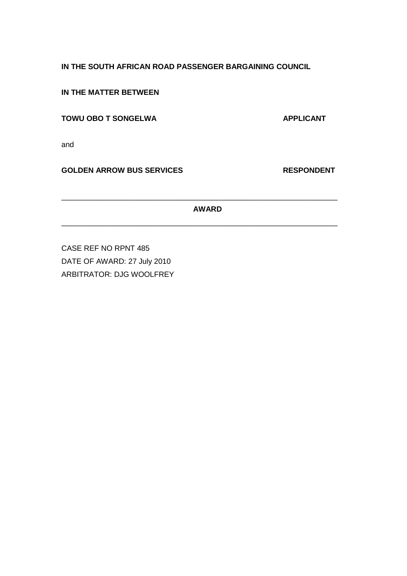## **IN THE SOUTH AFRICAN ROAD PASSENGER BARGAINING COUNCIL**

**IN THE MATTER BETWEEN**

## **TOWU OBO T SONGELWA APPLICANT**

and

**GOLDEN ARROW BUS SERVICES RESPONDENT**

# **AWARD**

\_\_\_\_\_\_\_\_\_\_\_\_\_\_\_\_\_\_\_\_\_\_\_\_\_\_\_\_\_\_\_\_\_\_\_\_\_\_\_\_\_\_\_\_\_\_\_\_\_\_\_\_\_\_\_\_\_\_\_\_\_\_\_\_\_\_

\_\_\_\_\_\_\_\_\_\_\_\_\_\_\_\_\_\_\_\_\_\_\_\_\_\_\_\_\_\_\_\_\_\_\_\_\_\_\_\_\_\_\_\_\_\_\_\_\_\_\_\_\_\_\_\_\_\_\_\_\_\_\_\_\_\_

CASE REF NO RPNT 485 DATE OF AWARD: 27 July 2010 ARBITRATOR: DJG WOOLFREY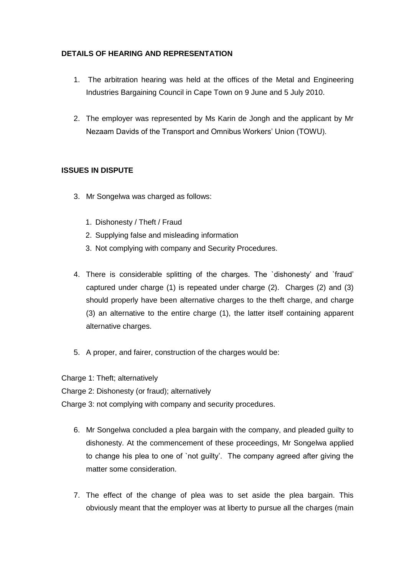## **DETAILS OF HEARING AND REPRESENTATION**

- 1. The arbitration hearing was held at the offices of the Metal and Engineering Industries Bargaining Council in Cape Town on 9 June and 5 July 2010.
- 2. The employer was represented by Ms Karin de Jongh and the applicant by Mr Nezaam Davids of the Transport and Omnibus Workers' Union (TOWU).

## **ISSUES IN DISPUTE**

- 3. Mr Songelwa was charged as follows:
	- 1. Dishonesty / Theft / Fraud
	- 2. Supplying false and misleading information
	- 3. Not complying with company and Security Procedures.
- 4. There is considerable splitting of the charges. The `dishonesty' and `fraud' captured under charge (1) is repeated under charge (2). Charges (2) and (3) should properly have been alternative charges to the theft charge, and charge (3) an alternative to the entire charge (1), the latter itself containing apparent alternative charges.
- 5. A proper, and fairer, construction of the charges would be:

Charge 1: Theft; alternatively

Charge 2: Dishonesty (or fraud); alternatively

Charge 3: not complying with company and security procedures.

- 6. Mr Songelwa concluded a plea bargain with the company, and pleaded guilty to dishonesty. At the commencement of these proceedings, Mr Songelwa applied to change his plea to one of `not guilty'. The company agreed after giving the matter some consideration.
- 7. The effect of the change of plea was to set aside the plea bargain. This obviously meant that the employer was at liberty to pursue all the charges (main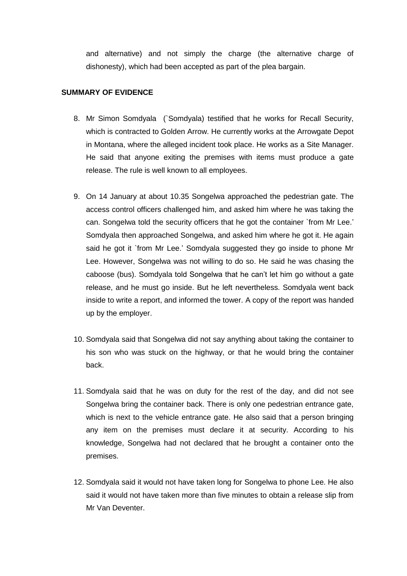and alternative) and not simply the charge (the alternative charge of dishonesty), which had been accepted as part of the plea bargain.

### **SUMMARY OF EVIDENCE**

- 8. Mr Simon Somdyala (`Somdyala) testified that he works for Recall Security, which is contracted to Golden Arrow. He currently works at the Arrowgate Depot in Montana, where the alleged incident took place. He works as a Site Manager. He said that anyone exiting the premises with items must produce a gate release. The rule is well known to all employees.
- 9. On 14 January at about 10.35 Songelwa approached the pedestrian gate. The access control officers challenged him, and asked him where he was taking the can. Songelwa told the security officers that he got the container `from Mr Lee.' Somdyala then approached Songelwa, and asked him where he got it. He again said he got it `from Mr Lee.' Somdyala suggested they go inside to phone Mr Lee. However, Songelwa was not willing to do so. He said he was chasing the caboose (bus). Somdyala told Songelwa that he can't let him go without a gate release, and he must go inside. But he left nevertheless. Somdyala went back inside to write a report, and informed the tower. A copy of the report was handed up by the employer.
- 10. Somdyala said that Songelwa did not say anything about taking the container to his son who was stuck on the highway, or that he would bring the container back.
- 11. Somdyala said that he was on duty for the rest of the day, and did not see Songelwa bring the container back. There is only one pedestrian entrance gate, which is next to the vehicle entrance gate. He also said that a person bringing any item on the premises must declare it at security. According to his knowledge, Songelwa had not declared that he brought a container onto the premises.
- 12. Somdyala said it would not have taken long for Songelwa to phone Lee. He also said it would not have taken more than five minutes to obtain a release slip from Mr Van Deventer.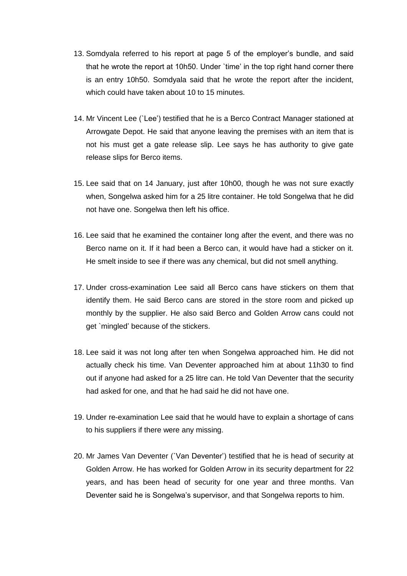- 13. Somdyala referred to his report at page 5 of the employer's bundle, and said that he wrote the report at 10h50. Under `time' in the top right hand corner there is an entry 10h50. Somdyala said that he wrote the report after the incident, which could have taken about 10 to 15 minutes.
- 14. Mr Vincent Lee (`Lee') testified that he is a Berco Contract Manager stationed at Arrowgate Depot. He said that anyone leaving the premises with an item that is not his must get a gate release slip. Lee says he has authority to give gate release slips for Berco items.
- 15. Lee said that on 14 January, just after 10h00, though he was not sure exactly when, Songelwa asked him for a 25 litre container. He told Songelwa that he did not have one. Songelwa then left his office.
- 16. Lee said that he examined the container long after the event, and there was no Berco name on it. If it had been a Berco can, it would have had a sticker on it. He smelt inside to see if there was any chemical, but did not smell anything.
- 17. Under cross-examination Lee said all Berco cans have stickers on them that identify them. He said Berco cans are stored in the store room and picked up monthly by the supplier. He also said Berco and Golden Arrow cans could not get `mingled' because of the stickers.
- 18. Lee said it was not long after ten when Songelwa approached him. He did not actually check his time. Van Deventer approached him at about 11h30 to find out if anyone had asked for a 25 litre can. He told Van Deventer that the security had asked for one, and that he had said he did not have one.
- 19. Under re-examination Lee said that he would have to explain a shortage of cans to his suppliers if there were any missing.
- 20. Mr James Van Deventer (`Van Deventer') testified that he is head of security at Golden Arrow. He has worked for Golden Arrow in its security department for 22 years, and has been head of security for one year and three months. Van Deventer said he is Songelwa's supervisor, and that Songelwa reports to him.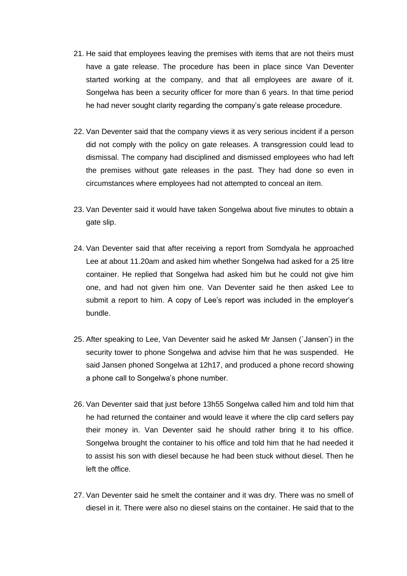- 21. He said that employees leaving the premises with items that are not theirs must have a gate release. The procedure has been in place since Van Deventer started working at the company, and that all employees are aware of it. Songelwa has been a security officer for more than 6 years. In that time period he had never sought clarity regarding the company's gate release procedure.
- 22. Van Deventer said that the company views it as very serious incident if a person did not comply with the policy on gate releases. A transgression could lead to dismissal. The company had disciplined and dismissed employees who had left the premises without gate releases in the past. They had done so even in circumstances where employees had not attempted to conceal an item.
- 23. Van Deventer said it would have taken Songelwa about five minutes to obtain a gate slip.
- 24. Van Deventer said that after receiving a report from Somdyala he approached Lee at about 11.20am and asked him whether Songelwa had asked for a 25 litre container. He replied that Songelwa had asked him but he could not give him one, and had not given him one. Van Deventer said he then asked Lee to submit a report to him. A copy of Lee's report was included in the employer's bundle.
- 25. After speaking to Lee, Van Deventer said he asked Mr Jansen (`Jansen') in the security tower to phone Songelwa and advise him that he was suspended. He said Jansen phoned Songelwa at 12h17, and produced a phone record showing a phone call to Songelwa's phone number.
- 26. Van Deventer said that just before 13h55 Songelwa called him and told him that he had returned the container and would leave it where the clip card sellers pay their money in. Van Deventer said he should rather bring it to his office. Songelwa brought the container to his office and told him that he had needed it to assist his son with diesel because he had been stuck without diesel. Then he left the office.
- 27. Van Deventer said he smelt the container and it was dry. There was no smell of diesel in it. There were also no diesel stains on the container. He said that to the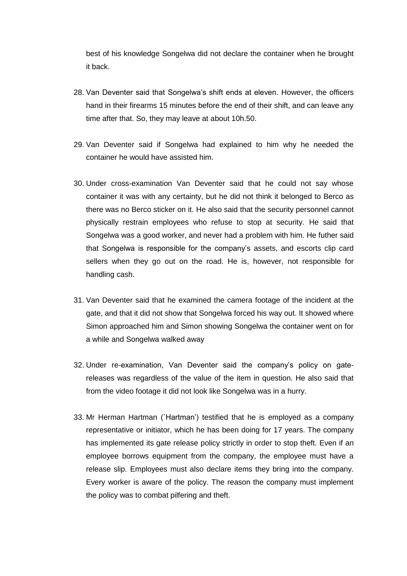best of his knowledge Songelwa did not declare the container when he brought it back.

- 28. Van Deventer said that Songelwa's shift ends at eleven. However, the officers hand in their firearms 15 minutes before the end of their shift, and can leave any time after that. So, they may leave at about 10h.50.
- 29. Van Deventer said if Songelwa had explained to him why he needed the container he would have assisted him.
- 30. Under cross-examination Van Deventer said that he could not say whose container it was with any certainty, but he did not think it belonged to Berco as there was no Berco sticker on it. He also said that the security personnel cannot physically restrain employees who refuse to stop at security. He said that Songelwa was a good worker, and never had a problem with him. He futher said that Songelwa is responsible for the company's assets, and escorts clip card sellers when they go out on the road. He is, however, not responsible for handling cash.
- 31. Van Deventer said that he examined the camera footage of the incident at the gate, and that it did not show that Songelwa forced his way out. It showed where Simon approached him and Simon showing Songelwa the container went on for a while and Songelwa walked away
- 32. Under re-examination, Van Deventer said the company's policy on gatereleases was regardless of the value of the item in question. He also said that from the video footage it did not look like Songelwa was in a hurry.
- 33. Mr Herman Hartman (`Hartman') testified that he is employed as a company representative or initiator, which he has been doing for 17 years. The company has implemented its gate release policy strictly in order to stop theft. Even if an employee borrows equipment from the company, the employee must have a release slip. Employees must also declare items they bring into the company. Every worker is aware of the policy. The reason the company must implement the policy was to combat pilfering and theft.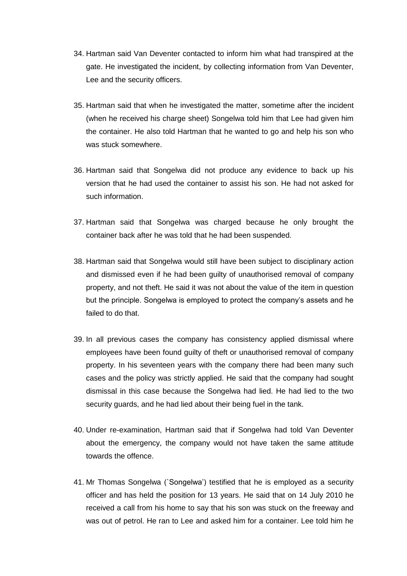- 34. Hartman said Van Deventer contacted to inform him what had transpired at the gate. He investigated the incident, by collecting information from Van Deventer, Lee and the security officers.
- 35. Hartman said that when he investigated the matter, sometime after the incident (when he received his charge sheet) Songelwa told him that Lee had given him the container. He also told Hartman that he wanted to go and help his son who was stuck somewhere.
- 36. Hartman said that Songelwa did not produce any evidence to back up his version that he had used the container to assist his son. He had not asked for such information.
- 37. Hartman said that Songelwa was charged because he only brought the container back after he was told that he had been suspended.
- 38. Hartman said that Songelwa would still have been subject to disciplinary action and dismissed even if he had been guilty of unauthorised removal of company property, and not theft. He said it was not about the value of the item in question but the principle. Songelwa is employed to protect the company's assets and he failed to do that.
- 39. In all previous cases the company has consistency applied dismissal where employees have been found guilty of theft or unauthorised removal of company property. In his seventeen years with the company there had been many such cases and the policy was strictly applied. He said that the company had sought dismissal in this case because the Songelwa had lied. He had lied to the two security guards, and he had lied about their being fuel in the tank.
- 40. Under re-examination, Hartman said that if Songelwa had told Van Deventer about the emergency, the company would not have taken the same attitude towards the offence.
- 41. Mr Thomas Songelwa (`Songelwa') testified that he is employed as a security officer and has held the position for 13 years. He said that on 14 July 2010 he received a call from his home to say that his son was stuck on the freeway and was out of petrol. He ran to Lee and asked him for a container. Lee told him he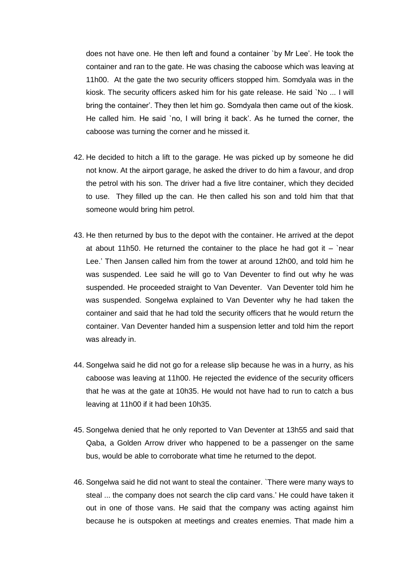does not have one. He then left and found a container `by Mr Lee'. He took the container and ran to the gate. He was chasing the caboose which was leaving at 11h00. At the gate the two security officers stopped him. Somdyala was in the kiosk. The security officers asked him for his gate release. He said `No ... I will bring the container'. They then let him go. Somdyala then came out of the kiosk. He called him. He said `no, I will bring it back'. As he turned the corner, the caboose was turning the corner and he missed it.

- 42. He decided to hitch a lift to the garage. He was picked up by someone he did not know. At the airport garage, he asked the driver to do him a favour, and drop the petrol with his son. The driver had a five litre container, which they decided to use. They filled up the can. He then called his son and told him that that someone would bring him petrol.
- 43. He then returned by bus to the depot with the container. He arrived at the depot at about 11h50. He returned the container to the place he had got it  $-$  `near Lee.' Then Jansen called him from the tower at around 12h00, and told him he was suspended. Lee said he will go to Van Deventer to find out why he was suspended. He proceeded straight to Van Deventer. Van Deventer told him he was suspended. Songelwa explained to Van Deventer why he had taken the container and said that he had told the security officers that he would return the container. Van Deventer handed him a suspension letter and told him the report was already in.
- 44. Songelwa said he did not go for a release slip because he was in a hurry, as his caboose was leaving at 11h00. He rejected the evidence of the security officers that he was at the gate at 10h35. He would not have had to run to catch a bus leaving at 11h00 if it had been 10h35.
- 45. Songelwa denied that he only reported to Van Deventer at 13h55 and said that Qaba, a Golden Arrow driver who happened to be a passenger on the same bus, would be able to corroborate what time he returned to the depot.
- 46. Songelwa said he did not want to steal the container. `There were many ways to steal ... the company does not search the clip card vans.' He could have taken it out in one of those vans. He said that the company was acting against him because he is outspoken at meetings and creates enemies. That made him a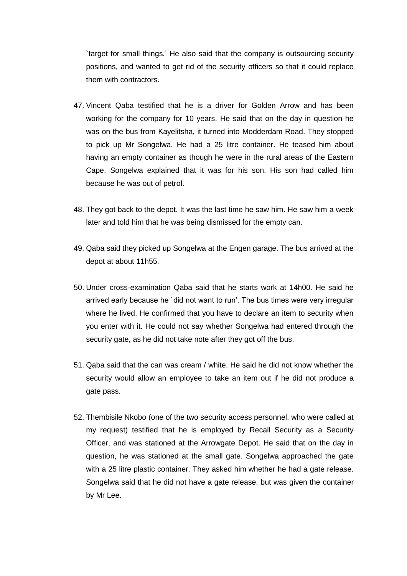`target for small things.' He also said that the company is outsourcing security positions, and wanted to get rid of the security officers so that it could replace them with contractors.

- 47. Vincent Qaba testified that he is a driver for Golden Arrow and has been working for the company for 10 years. He said that on the day in question he was on the bus from Kayelitsha, it turned into Modderdam Road. They stopped to pick up Mr Songelwa. He had a 25 litre container. He teased him about having an empty container as though he were in the rural areas of the Eastern Cape. Songelwa explained that it was for his son. His son had called him because he was out of petrol.
- 48. They got back to the depot. It was the last time he saw him. He saw him a week later and told him that he was being dismissed for the empty can.
- 49. Qaba said they picked up Songelwa at the Engen garage. The bus arrived at the depot at about 11h55.
- 50. Under cross-examination Qaba said that he starts work at 14h00. He said he arrived early because he `did not want to run'. The bus times were very irregular where he lived. He confirmed that you have to declare an item to security when you enter with it. He could not say whether Songelwa had entered through the security gate, as he did not take note after they got off the bus.
- 51. Qaba said that the can was cream / white. He said he did not know whether the security would allow an employee to take an item out if he did not produce a gate pass.
- 52. Thembisile Nkobo (one of the two security access personnel, who were called at my request) testified that he is employed by Recall Security as a Security Officer, and was stationed at the Arrowgate Depot. He said that on the day in question, he was stationed at the small gate. Songelwa approached the gate with a 25 litre plastic container. They asked him whether he had a gate release. Songelwa said that he did not have a gate release, but was given the container by Mr Lee.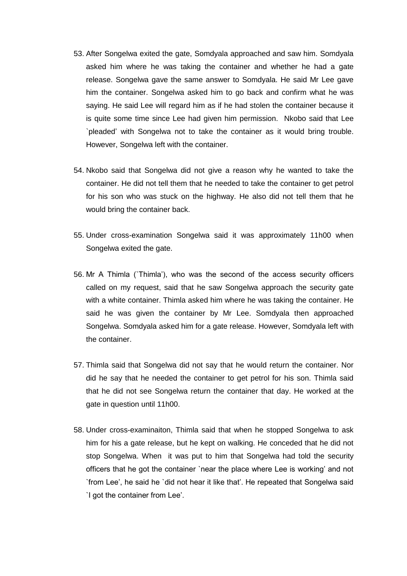- 53. After Songelwa exited the gate, Somdyala approached and saw him. Somdyala asked him where he was taking the container and whether he had a gate release. Songelwa gave the same answer to Somdyala. He said Mr Lee gave him the container. Songelwa asked him to go back and confirm what he was saying. He said Lee will regard him as if he had stolen the container because it is quite some time since Lee had given him permission. Nkobo said that Lee `pleaded' with Songelwa not to take the container as it would bring trouble. However, Songelwa left with the container.
- 54. Nkobo said that Songelwa did not give a reason why he wanted to take the container. He did not tell them that he needed to take the container to get petrol for his son who was stuck on the highway. He also did not tell them that he would bring the container back.
- 55. Under cross-examination Songelwa said it was approximately 11h00 when Songelwa exited the gate.
- 56. Mr A Thimla (`Thimla'), who was the second of the access security officers called on my request, said that he saw Songelwa approach the security gate with a white container. Thimla asked him where he was taking the container. He said he was given the container by Mr Lee. Somdyala then approached Songelwa. Somdyala asked him for a gate release. However, Somdyala left with the container.
- 57. Thimla said that Songelwa did not say that he would return the container. Nor did he say that he needed the container to get petrol for his son. Thimla said that he did not see Songelwa return the container that day. He worked at the gate in question until 11h00.
- 58. Under cross-examinaiton, Thimla said that when he stopped Songelwa to ask him for his a gate release, but he kept on walking. He conceded that he did not stop Songelwa. When it was put to him that Songelwa had told the security officers that he got the container `near the place where Lee is working' and not `from Lee', he said he `did not hear it like that'. He repeated that Songelwa said `I got the container from Lee'.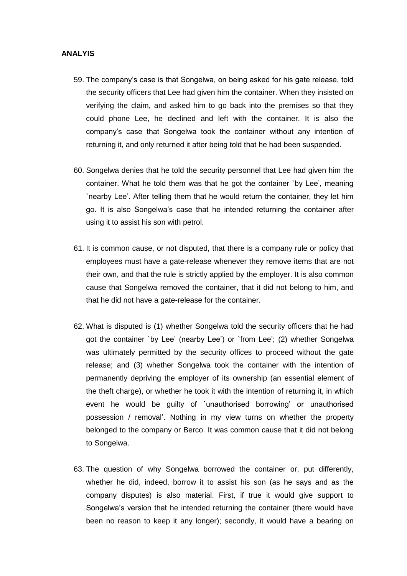### **ANALYIS**

- 59. The company's case is that Songelwa, on being asked for his gate release, told the security officers that Lee had given him the container. When they insisted on verifying the claim, and asked him to go back into the premises so that they could phone Lee, he declined and left with the container. It is also the company's case that Songelwa took the container without any intention of returning it, and only returned it after being told that he had been suspended.
- 60. Songelwa denies that he told the security personnel that Lee had given him the container. What he told them was that he got the container `by Lee', meaning `nearby Lee'. After telling them that he would return the container, they let him go. It is also Songelwa's case that he intended returning the container after using it to assist his son with petrol.
- 61. It is common cause, or not disputed, that there is a company rule or policy that employees must have a gate-release whenever they remove items that are not their own, and that the rule is strictly applied by the employer. It is also common cause that Songelwa removed the container, that it did not belong to him, and that he did not have a gate-release for the container.
- 62. What is disputed is (1) whether Songelwa told the security officers that he had got the container `by Lee' (nearby Lee') or `from Lee'; (2) whether Songelwa was ultimately permitted by the security offices to proceed without the gate release; and (3) whether Songelwa took the container with the intention of permanently depriving the employer of its ownership (an essential element of the theft charge), or whether he took it with the intention of returning it, in which event he would be guilty of `unauthorised borrowing' or unauthorised possession / removal'. Nothing in my view turns on whether the property belonged to the company or Berco. It was common cause that it did not belong to Songelwa.
- 63. The question of why Songelwa borrowed the container or, put differently, whether he did, indeed, borrow it to assist his son (as he says and as the company disputes) is also material. First, if true it would give support to Songelwa's version that he intended returning the container (there would have been no reason to keep it any longer); secondly, it would have a bearing on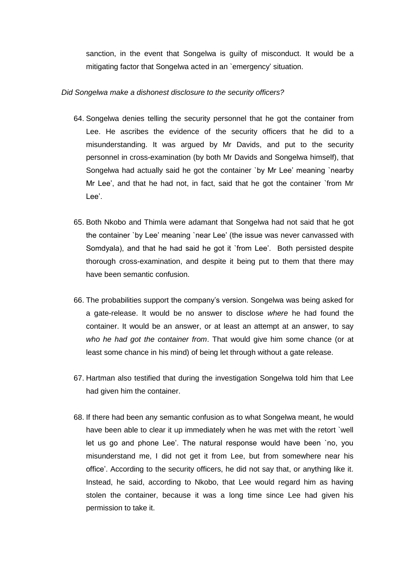sanction, in the event that Songelwa is guilty of misconduct. It would be a mitigating factor that Songelwa acted in an `emergency' situation.

### *Did Songelwa make a dishonest disclosure to the security officers?*

- 64. Songelwa denies telling the security personnel that he got the container from Lee. He ascribes the evidence of the security officers that he did to a misunderstanding. It was argued by Mr Davids, and put to the security personnel in cross-examination (by both Mr Davids and Songelwa himself), that Songelwa had actually said he got the container `by Mr Lee' meaning `nearby Mr Lee', and that he had not, in fact, said that he got the container `from Mr Lee'.
- 65. Both Nkobo and Thimla were adamant that Songelwa had not said that he got the container `by Lee' meaning `near Lee' (the issue was never canvassed with Somdyala), and that he had said he got it `from Lee'. Both persisted despite thorough cross-examination, and despite it being put to them that there may have been semantic confusion.
- 66. The probabilities support the company's version. Songelwa was being asked for a gate-release. It would be no answer to disclose *where* he had found the container. It would be an answer, or at least an attempt at an answer, to say *who he had got the container from*. That would give him some chance (or at least some chance in his mind) of being let through without a gate release.
- 67. Hartman also testified that during the investigation Songelwa told him that Lee had given him the container.
- 68. If there had been any semantic confusion as to what Songelwa meant, he would have been able to clear it up immediately when he was met with the retort `well let us go and phone Lee'. The natural response would have been `no, you misunderstand me, I did not get it from Lee, but from somewhere near his office'. According to the security officers, he did not say that, or anything like it. Instead, he said, according to Nkobo, that Lee would regard him as having stolen the container, because it was a long time since Lee had given his permission to take it.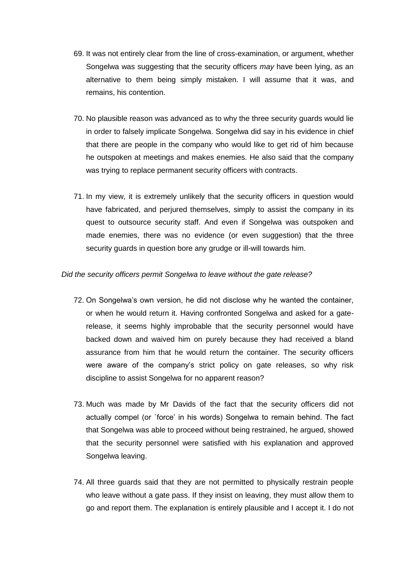- 69. It was not entirely clear from the line of cross-examination, or argument, whether Songelwa was suggesting that the security officers *may* have been lying, as an alternative to them being simply mistaken. I will assume that it was, and remains, his contention.
- 70. No plausible reason was advanced as to why the three security guards would lie in order to falsely implicate Songelwa. Songelwa did say in his evidence in chief that there are people in the company who would like to get rid of him because he outspoken at meetings and makes enemies. He also said that the company was trying to replace permanent security officers with contracts.
- 71. In my view, it is extremely unlikely that the security officers in question would have fabricated, and perjured themselves, simply to assist the company in its quest to outsource security staff. And even if Songelwa was outspoken and made enemies, there was no evidence (or even suggestion) that the three security guards in question bore any grudge or ill-will towards him.

### *Did the security officers permit Songelwa to leave without the gate release?*

- 72. On Songelwa's own version, he did not disclose why he wanted the container, or when he would return it. Having confronted Songelwa and asked for a gaterelease, it seems highly improbable that the security personnel would have backed down and waived him on purely because they had received a bland assurance from him that he would return the container. The security officers were aware of the company's strict policy on gate releases, so why risk discipline to assist Songelwa for no apparent reason?
- 73. Much was made by Mr Davids of the fact that the security officers did not actually compel (or `force' in his words) Songelwa to remain behind. The fact that Songelwa was able to proceed without being restrained, he argued, showed that the security personnel were satisfied with his explanation and approved Songelwa leaving.
- 74. All three guards said that they are not permitted to physically restrain people who leave without a gate pass. If they insist on leaving, they must allow them to go and report them. The explanation is entirely plausible and I accept it. I do not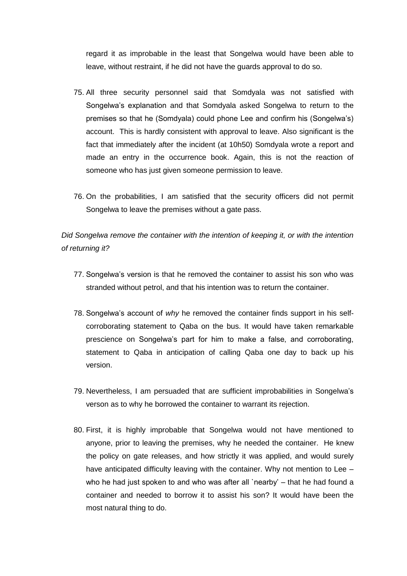regard it as improbable in the least that Songelwa would have been able to leave, without restraint, if he did not have the guards approval to do so.

- 75. All three security personnel said that Somdyala was not satisfied with Songelwa's explanation and that Somdyala asked Songelwa to return to the premises so that he (Somdyala) could phone Lee and confirm his (Songelwa's) account. This is hardly consistent with approval to leave. Also significant is the fact that immediately after the incident (at 10h50) Somdyala wrote a report and made an entry in the occurrence book. Again, this is not the reaction of someone who has just given someone permission to leave.
- 76. On the probabilities, I am satisfied that the security officers did not permit Songelwa to leave the premises without a gate pass.

*Did Songelwa remove the container with the intention of keeping it, or with the intention of returning it?*

- 77. Songelwa's version is that he removed the container to assist his son who was stranded without petrol, and that his intention was to return the container.
- 78. Songelwa's account of *why* he removed the container finds support in his selfcorroborating statement to Qaba on the bus. It would have taken remarkable prescience on Songelwa's part for him to make a false, and corroborating, statement to Qaba in anticipation of calling Qaba one day to back up his version.
- 79. Nevertheless, I am persuaded that are sufficient improbabilities in Songelwa's verson as to why he borrowed the container to warrant its rejection.
- 80. First, it is highly improbable that Songelwa would not have mentioned to anyone, prior to leaving the premises, why he needed the container. He knew the policy on gate releases, and how strictly it was applied, and would surely have anticipated difficulty leaving with the container. Why not mention to Lee – who he had just spoken to and who was after all `nearby' – that he had found a container and needed to borrow it to assist his son? It would have been the most natural thing to do.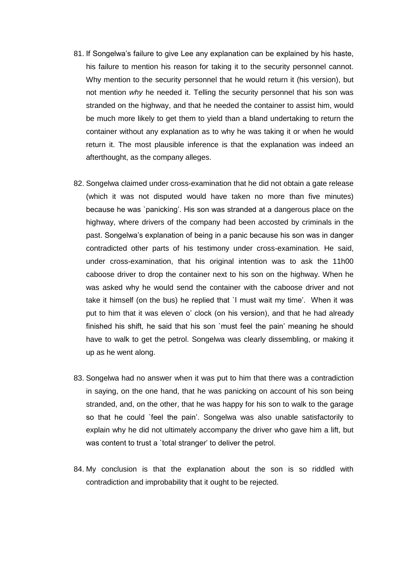- 81. If Songelwa's failure to give Lee any explanation can be explained by his haste, his failure to mention his reason for taking it to the security personnel cannot. Why mention to the security personnel that he would return it (his version), but not mention *why* he needed it. Telling the security personnel that his son was stranded on the highway, and that he needed the container to assist him, would be much more likely to get them to yield than a bland undertaking to return the container without any explanation as to why he was taking it or when he would return it. The most plausible inference is that the explanation was indeed an afterthought, as the company alleges.
- 82. Songelwa claimed under cross-examination that he did not obtain a gate release (which it was not disputed would have taken no more than five minutes) because he was `panicking'. His son was stranded at a dangerous place on the highway, where drivers of the company had been accosted by criminals in the past. Songelwa's explanation of being in a panic because his son was in danger contradicted other parts of his testimony under cross-examination. He said, under cross-examination, that his original intention was to ask the 11h00 caboose driver to drop the container next to his son on the highway. When he was asked why he would send the container with the caboose driver and not take it himself (on the bus) he replied that `I must wait my time'. When it was put to him that it was eleven o' clock (on his version), and that he had already finished his shift, he said that his son `must feel the pain' meaning he should have to walk to get the petrol. Songelwa was clearly dissembling, or making it up as he went along.
- 83. Songelwa had no answer when it was put to him that there was a contradiction in saying, on the one hand, that he was panicking on account of his son being stranded, and, on the other, that he was happy for his son to walk to the garage so that he could `feel the pain'. Songelwa was also unable satisfactorily to explain why he did not ultimately accompany the driver who gave him a lift, but was content to trust a `total stranger' to deliver the petrol.
- 84. My conclusion is that the explanation about the son is so riddled with contradiction and improbability that it ought to be rejected.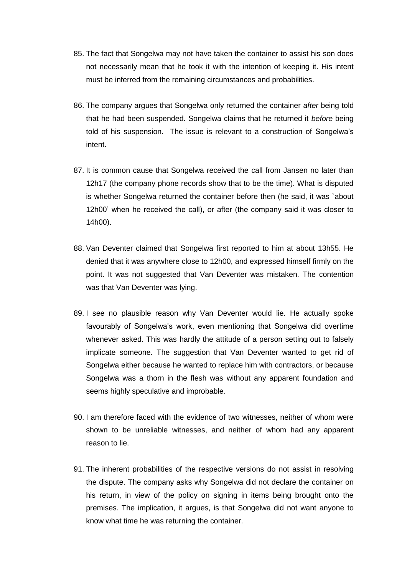- 85. The fact that Songelwa may not have taken the container to assist his son does not necessarily mean that he took it with the intention of keeping it. His intent must be inferred from the remaining circumstances and probabilities.
- 86. The company argues that Songelwa only returned the container *after* being told that he had been suspended. Songelwa claims that he returned it *before* being told of his suspension. The issue is relevant to a construction of Songelwa's intent.
- 87. It is common cause that Songelwa received the call from Jansen no later than 12h17 (the company phone records show that to be the time). What is disputed is whether Songelwa returned the container before then (he said, it was `about 12h00' when he received the call), or after (the company said it was closer to 14h00).
- 88. Van Deventer claimed that Songelwa first reported to him at about 13h55. He denied that it was anywhere close to 12h00, and expressed himself firmly on the point. It was not suggested that Van Deventer was mistaken. The contention was that Van Deventer was lying.
- 89. I see no plausible reason why Van Deventer would lie. He actually spoke favourably of Songelwa's work, even mentioning that Songelwa did overtime whenever asked. This was hardly the attitude of a person setting out to falsely implicate someone. The suggestion that Van Deventer wanted to get rid of Songelwa either because he wanted to replace him with contractors, or because Songelwa was a thorn in the flesh was without any apparent foundation and seems highly speculative and improbable.
- 90. I am therefore faced with the evidence of two witnesses, neither of whom were shown to be unreliable witnesses, and neither of whom had any apparent reason to lie.
- 91. The inherent probabilities of the respective versions do not assist in resolving the dispute. The company asks why Songelwa did not declare the container on his return, in view of the policy on signing in items being brought onto the premises. The implication, it argues, is that Songelwa did not want anyone to know what time he was returning the container.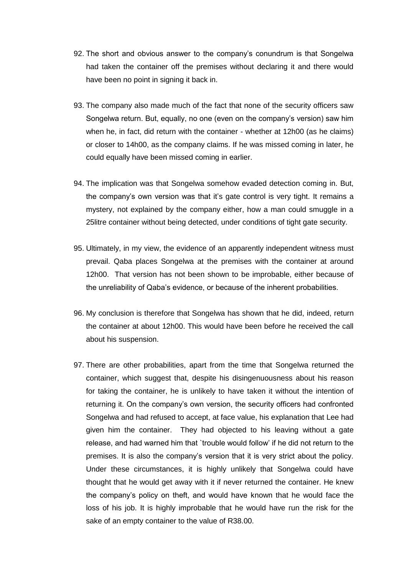- 92. The short and obvious answer to the company's conundrum is that Songelwa had taken the container off the premises without declaring it and there would have been no point in signing it back in.
- 93. The company also made much of the fact that none of the security officers saw Songelwa return. But, equally, no one (even on the company's version) saw him when he, in fact, did return with the container - whether at 12h00 (as he claims) or closer to 14h00, as the company claims. If he was missed coming in later, he could equally have been missed coming in earlier.
- 94. The implication was that Songelwa somehow evaded detection coming in. But, the company's own version was that it's gate control is very tight. It remains a mystery, not explained by the company either, how a man could smuggle in a 25litre container without being detected, under conditions of tight gate security.
- 95. Ultimately, in my view, the evidence of an apparently independent witness must prevail. Qaba places Songelwa at the premises with the container at around 12h00. That version has not been shown to be improbable, either because of the unreliability of Qaba's evidence, or because of the inherent probabilities.
- 96. My conclusion is therefore that Songelwa has shown that he did, indeed, return the container at about 12h00. This would have been before he received the call about his suspension.
- 97. There are other probabilities, apart from the time that Songelwa returned the container, which suggest that, despite his disingenuousness about his reason for taking the container, he is unlikely to have taken it without the intention of returning it. On the company's own version, the security officers had confronted Songelwa and had refused to accept, at face value, his explanation that Lee had given him the container. They had objected to his leaving without a gate release, and had warned him that `trouble would follow' if he did not return to the premises. It is also the company's version that it is very strict about the policy. Under these circumstances, it is highly unlikely that Songelwa could have thought that he would get away with it if never returned the container. He knew the company's policy on theft, and would have known that he would face the loss of his job. It is highly improbable that he would have run the risk for the sake of an empty container to the value of R38.00.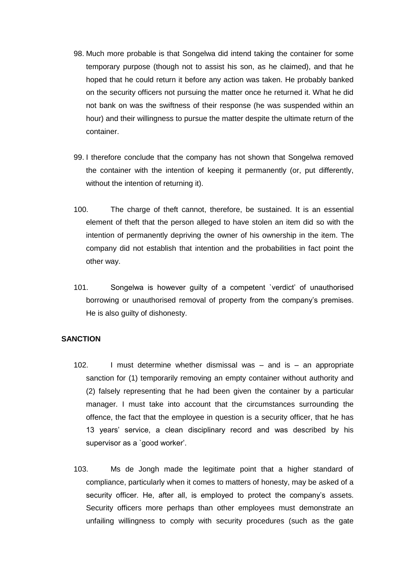- 98. Much more probable is that Songelwa did intend taking the container for some temporary purpose (though not to assist his son, as he claimed), and that he hoped that he could return it before any action was taken. He probably banked on the security officers not pursuing the matter once he returned it. What he did not bank on was the swiftness of their response (he was suspended within an hour) and their willingness to pursue the matter despite the ultimate return of the container.
- 99. I therefore conclude that the company has not shown that Songelwa removed the container with the intention of keeping it permanently (or, put differently, without the intention of returning it).
- 100. The charge of theft cannot, therefore, be sustained. It is an essential element of theft that the person alleged to have stolen an item did so with the intention of permanently depriving the owner of his ownership in the item. The company did not establish that intention and the probabilities in fact point the other way.
- 101. Songelwa is however guilty of a competent `verdict' of unauthorised borrowing or unauthorised removal of property from the company's premises. He is also guilty of dishonesty.

### **SANCTION**

- 102. I must determine whether dismissal was and is an appropriate sanction for (1) temporarily removing an empty container without authority and (2) falsely representing that he had been given the container by a particular manager. I must take into account that the circumstances surrounding the offence, the fact that the employee in question is a security officer, that he has 13 years' service, a clean disciplinary record and was described by his supervisor as a 'good worker'.
- 103. Ms de Jongh made the legitimate point that a higher standard of compliance, particularly when it comes to matters of honesty, may be asked of a security officer. He, after all, is employed to protect the company's assets. Security officers more perhaps than other employees must demonstrate an unfailing willingness to comply with security procedures (such as the gate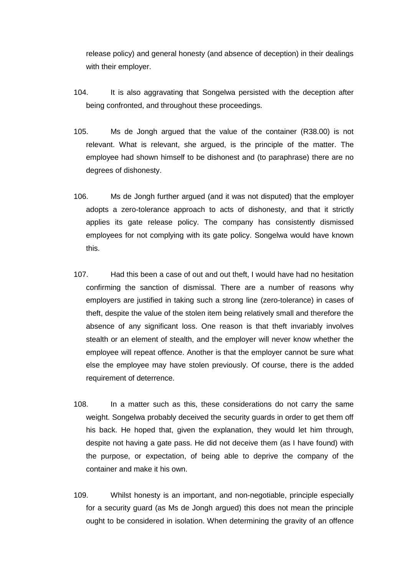release policy) and general honesty (and absence of deception) in their dealings with their employer.

- 104. It is also aggravating that Songelwa persisted with the deception after being confronted, and throughout these proceedings.
- 105. Ms de Jongh argued that the value of the container (R38.00) is not relevant. What is relevant, she argued, is the principle of the matter. The employee had shown himself to be dishonest and (to paraphrase) there are no degrees of dishonesty.
- 106. Ms de Jongh further argued (and it was not disputed) that the employer adopts a zero-tolerance approach to acts of dishonesty, and that it strictly applies its gate release policy. The company has consistently dismissed employees for not complying with its gate policy. Songelwa would have known this.
- 107. Had this been a case of out and out theft, I would have had no hesitation confirming the sanction of dismissal. There are a number of reasons why employers are justified in taking such a strong line (zero-tolerance) in cases of theft, despite the value of the stolen item being relatively small and therefore the absence of any significant loss. One reason is that theft invariably involves stealth or an element of stealth, and the employer will never know whether the employee will repeat offence. Another is that the employer cannot be sure what else the employee may have stolen previously. Of course, there is the added requirement of deterrence.
- 108. In a matter such as this, these considerations do not carry the same weight. Songelwa probably deceived the security guards in order to get them off his back. He hoped that, given the explanation, they would let him through, despite not having a gate pass. He did not deceive them (as I have found) with the purpose, or expectation, of being able to deprive the company of the container and make it his own.
- 109. Whilst honesty is an important, and non-negotiable, principle especially for a security guard (as Ms de Jongh argued) this does not mean the principle ought to be considered in isolation. When determining the gravity of an offence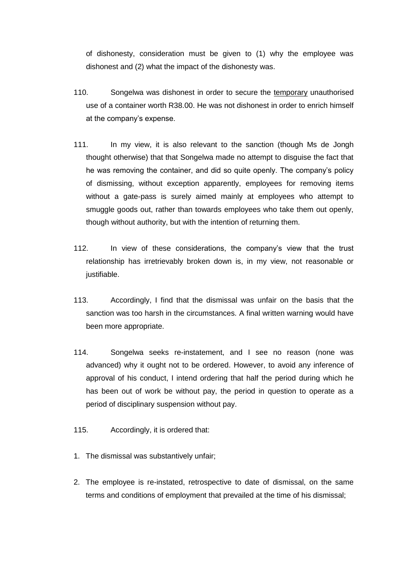of dishonesty, consideration must be given to (1) why the employee was dishonest and (2) what the impact of the dishonesty was.

- 110. Songelwa was dishonest in order to secure the temporary unauthorised use of a container worth R38.00. He was not dishonest in order to enrich himself at the company's expense.
- 111. In my view, it is also relevant to the sanction (though Ms de Jongh thought otherwise) that that Songelwa made no attempt to disguise the fact that he was removing the container, and did so quite openly. The company's policy of dismissing, without exception apparently, employees for removing items without a gate-pass is surely aimed mainly at employees who attempt to smuggle goods out, rather than towards employees who take them out openly, though without authority, but with the intention of returning them.
- 112. In view of these considerations, the company's view that the trust relationship has irretrievably broken down is, in my view, not reasonable or justifiable.
- 113. Accordingly, I find that the dismissal was unfair on the basis that the sanction was too harsh in the circumstances. A final written warning would have been more appropriate.
- 114. Songelwa seeks re-instatement, and I see no reason (none was advanced) why it ought not to be ordered. However, to avoid any inference of approval of his conduct, I intend ordering that half the period during which he has been out of work be without pay, the period in question to operate as a period of disciplinary suspension without pay.
- 115. Accordingly, it is ordered that:
- 1. The dismissal was substantively unfair;
- 2. The employee is re-instated, retrospective to date of dismissal, on the same terms and conditions of employment that prevailed at the time of his dismissal;